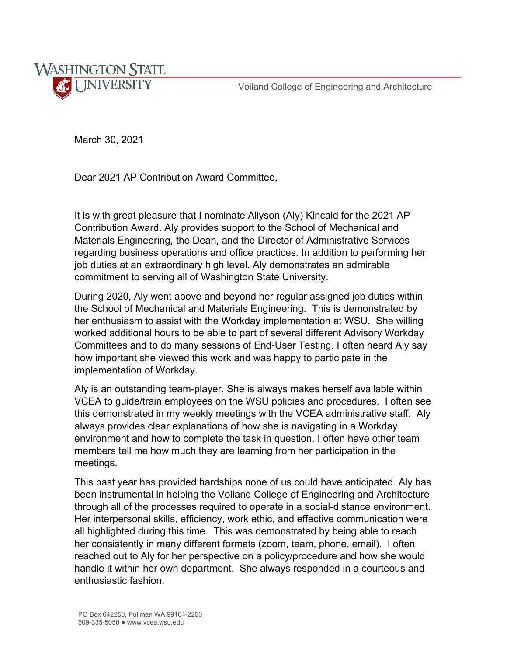Voiland College of Engineering and Architecture



March 30, 2021

Dear 2021 AP Contribution Award Committee,

It is with great pleasure that I nominate Allyson (Aly) Kincaid for the 2021 AP Contribution Award. Aly provides support to the School of Mechanical and Materials Engineering, the Dean, and the Director of Administrative Services regarding business operations and office practices. In addition to performing her job duties at an extraordinary high level, Aly demonstrates an admirable commitment to serving all of Washington State University.

During 2020, Aly went above and beyond her regular assigned job duties within the School of Mechanical and Materials Engineering. This is demonstrated by her enthusiasm to assist with the Workday implementation at WSU. She willing worked additional hours to be able to part of several different Advisory Workday Committees and to do many sessions of End-User Testing. I often heard Aly say how important she viewed this work and was happy to participate in the implementation of Workday.

Aly is an outstanding team-player. She is always makes herself available within VCEA to guide/train employees on the WSU policies and procedures. I often see this demonstrated in my weekly meetings with the VCEA administrative staff. Aly always provides clear explanations of how she is navigating in a Workday environment and how to complete the task in question. I often have other team members tell me how much they are learning from her participation in the meetings.

This past year has provided hardships none of us could have anticipated. Aly has been instrumental in helping the Voiland College of Engineering and Architecture through all of the processes required to operate in a social-distance environment. Her interpersonal skills, efficiency, work ethic, and effective communication were all highlighted during this time. This was demonstrated by being able to reach her consistently in many different formats (zoom, team, phone, email). I often reached out to Aly for her perspective on a policy/procedure and how she would handle it within her own department. She always responded in a courteous and enthusiastic fashion.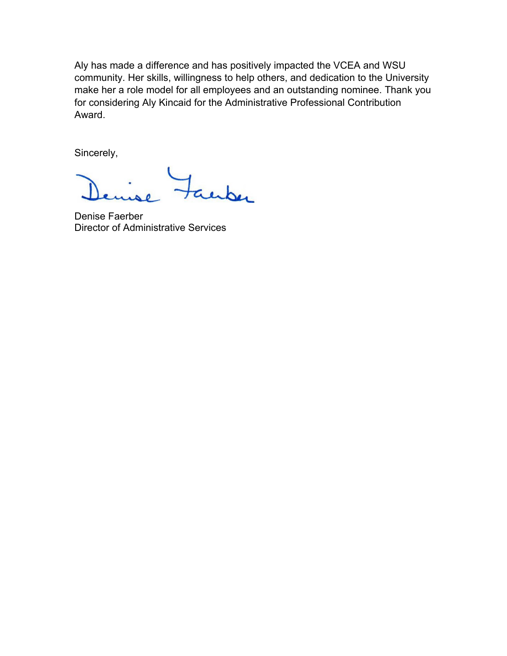Aly has made a difference and has positively impacted the VCEA and WSU community. Her skills, willingness to help others, and dedication to the University make her a role model for all employees and an outstanding nominee. Thank you for considering Aly Kincaid for the Administrative Professional Contribution Award.

Sincerely,

inber

Denise Faerber Director of Administrative Services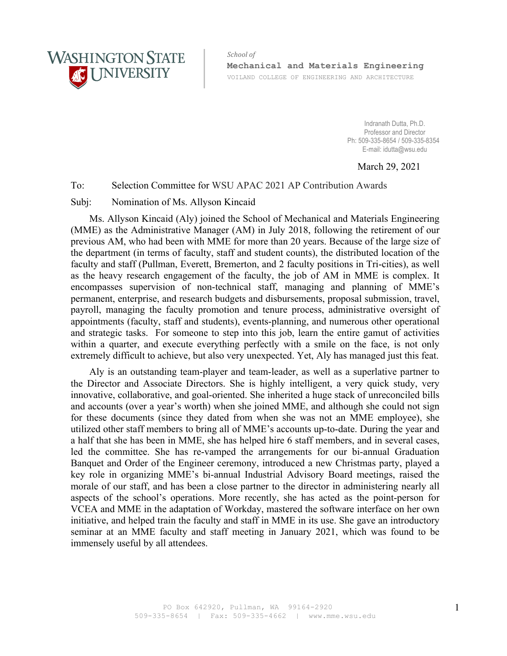

*School of* **Mechanical and Materials Engineering** VOILAND COLLEGE OF ENGINEERING AND ARCHITECTURE

> Indranath Dutta, Ph.D. Professor and Director Ph: 509-335-8654 / 509-335-8354 E-mail: idutta@wsu.edu

> > March 29, 2021

## To: Selection Committee for WSU APAC 2021 AP Contribution Awards

## Subj: Nomination of Ms. Allyson Kincaid

Ms. Allyson Kincaid (Aly) joined the School of Mechanical and Materials Engineering (MME) as the Administrative Manager (AM) in July 2018, following the retirement of our previous AM, who had been with MME for more than 20 years. Because of the large size of the department (in terms of faculty, staff and student counts), the distributed location of the faculty and staff (Pullman, Everett, Bremerton, and 2 faculty positions in Tri-cities), as well as the heavy research engagement of the faculty, the job of AM in MME is complex. It encompasses supervision of non-technical staff, managing and planning of MME's permanent, enterprise, and research budgets and disbursements, proposal submission, travel, payroll, managing the faculty promotion and tenure process, administrative oversight of appointments (faculty, staff and students), events-planning, and numerous other operational and strategic tasks. For someone to step into this job, learn the entire gamut of activities within a quarter, and execute everything perfectly with a smile on the face, is not only extremely difficult to achieve, but also very unexpected. Yet, Aly has managed just this feat.

Aly is an outstanding team-player and team-leader, as well as a superlative partner to the Director and Associate Directors. She is highly intelligent, a very quick study, very innovative, collaborative, and goal-oriented. She inherited a huge stack of unreconciled bills and accounts (over a year's worth) when she joined MME, and although she could not sign for these documents (since they dated from when she was not an MME employee), she utilized other staff members to bring all of MME's accounts up-to-date. During the year and a half that she has been in MME, she has helped hire 6 staff members, and in several cases, led the committee. She has re-vamped the arrangements for our bi-annual Graduation Banquet and Order of the Engineer ceremony, introduced a new Christmas party, played a key role in organizing MME's bi-annual Industrial Advisory Board meetings, raised the morale of our staff, and has been a close partner to the director in administering nearly all aspects of the school's operations. More recently, she has acted as the point-person for VCEA and MME in the adaptation of Workday, mastered the software interface on her own initiative, and helped train the faculty and staff in MME in its use. She gave an introductory seminar at an MME faculty and staff meeting in January 2021, which was found to be immensely useful by all attendees.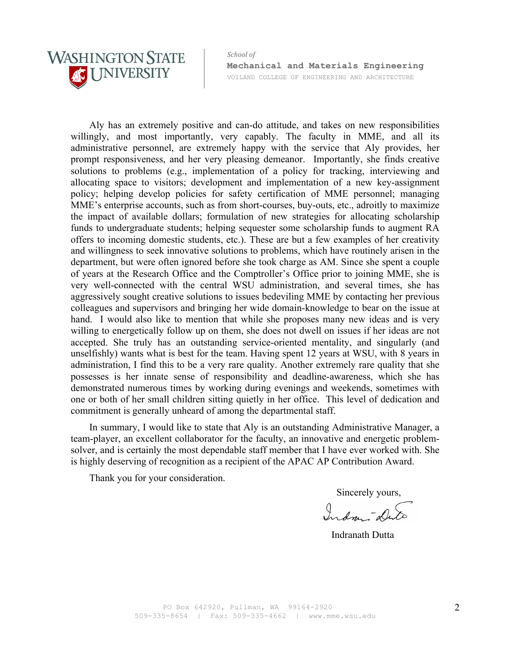

*School of* **Mechanical and Materials Engineering** VOILAND COLLEGE OF ENGINEERING AND ARCHITECTURE

Aly has an extremely positive and can-do attitude, and takes on new responsibilities willingly, and most importantly, very capably. The faculty in MME, and all its administrative personnel, are extremely happy with the service that Aly provides, her prompt responsiveness, and her very pleasing demeanor. Importantly, she finds creative solutions to problems (e.g., implementation of a policy for tracking, interviewing and allocating space to visitors; development and implementation of a new key-assignment policy; helping develop policies for safety certification of MME personnel; managing MME's enterprise accounts, such as from short-courses, buy-outs, etc., adroitly to maximize the impact of available dollars; formulation of new strategies for allocating scholarship funds to undergraduate students; helping sequester some scholarship funds to augment RA offers to incoming domestic students, etc.). These are but a few examples of her creativity and willingness to seek innovative solutions to problems, which have routinely arisen in the department, but were often ignored before she took charge as AM. Since she spent a couple of years at the Research Office and the Comptroller's Office prior to joining MME, she is very well-connected with the central WSU administration, and several times, she has aggressively sought creative solutions to issues bedeviling MME by contacting her previous colleagues and supervisors and bringing her wide domain-knowledge to bear on the issue at hand. I would also like to mention that while she proposes many new ideas and is very willing to energetically follow up on them, she does not dwell on issues if her ideas are not accepted. She truly has an outstanding service-oriented mentality, and singularly (and unselfishly) wants what is best for the team. Having spent 12 years at WSU, with 8 years in administration, I find this to be a very rare quality. Another extremely rare quality that she possesses is her innate sense of responsibility and deadline-awareness, which she has demonstrated numerous times by working during evenings and weekends, sometimes with one or both of her small children sitting quietly in her office. This level of dedication and commitment is generally unheard of among the departmental staff.

In summary, I would like to state that Aly is an outstanding Administrative Manager, a team-player, an excellent collaborator for the faculty, an innovative and energetic problemsolver, and is certainly the most dependable staff member that I have ever worked with. She is highly deserving of recognition as a recipient of the APAC AP Contribution Award.

Thank you for your consideration.

Sincerely yours,

Indon- Di

Indranath Dutta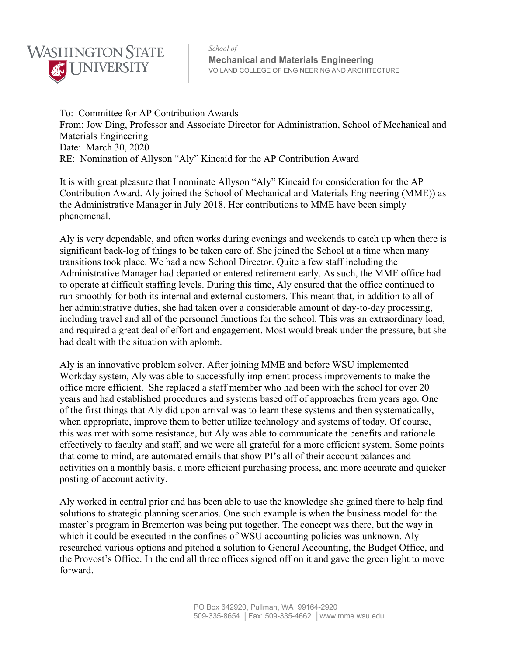

*School of*  **Mechanical and Materials Engineering**  VOILAND COLLEGE OF ENGINEERING AND ARCHITECTURE

To: Committee for AP Contribution Awards From: Jow Ding, Professor and Associate Director for Administration, School of Mechanical and Materials Engineering Date: March 30, 2020 RE: Nomination of Allyson "Aly" Kincaid for the AP Contribution Award

It is with great pleasure that I nominate Allyson "Aly" Kincaid for consideration for the AP Contribution Award. Aly joined the School of Mechanical and Materials Engineering (MME)) as the Administrative Manager in July 2018. Her contributions to MME have been simply phenomenal.

Aly is very dependable, and often works during evenings and weekends to catch up when there is significant back-log of things to be taken care of. She joined the School at a time when many transitions took place. We had a new School Director. Quite a few staff including the Administrative Manager had departed or entered retirement early. As such, the MME office had to operate at difficult staffing levels. During this time, Aly ensured that the office continued to run smoothly for both its internal and external customers. This meant that, in addition to all of her administrative duties, she had taken over a considerable amount of day-to-day processing, including travel and all of the personnel functions for the school. This was an extraordinary load, and required a great deal of effort and engagement. Most would break under the pressure, but she had dealt with the situation with aplomb.

Aly is an innovative problem solver. After joining MME and before WSU implemented Workday system, Aly was able to successfully implement process improvements to make the office more efficient. She replaced a staff member who had been with the school for over 20 years and had established procedures and systems based off of approaches from years ago. One of the first things that Aly did upon arrival was to learn these systems and then systematically, when appropriate, improve them to better utilize technology and systems of today. Of course, this was met with some resistance, but Aly was able to communicate the benefits and rationale effectively to faculty and staff, and we were all grateful for a more efficient system. Some points that come to mind, are automated emails that show PI's all of their account balances and activities on a monthly basis, a more efficient purchasing process, and more accurate and quicker posting of account activity.

Aly worked in central prior and has been able to use the knowledge she gained there to help find solutions to strategic planning scenarios. One such example is when the business model for the master's program in Bremerton was being put together. The concept was there, but the way in which it could be executed in the confines of WSU accounting policies was unknown. Aly researched various options and pitched a solution to General Accounting, the Budget Office, and the Provost's Office. In the end all three offices signed off on it and gave the green light to move forward.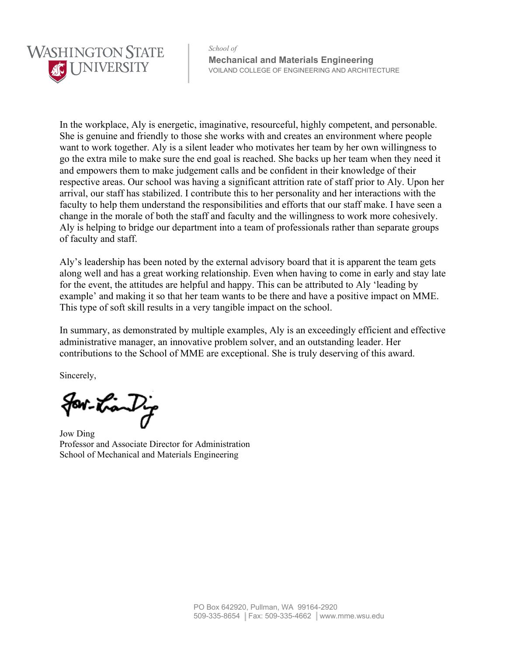

*School of*  **Mechanical and Materials Engineering**  VOILAND COLLEGE OF ENGINEERING AND ARCHITECTURE

In the workplace, Aly is energetic, imaginative, resourceful, highly competent, and personable. She is genuine and friendly to those she works with and creates an environment where people want to work together. Aly is a silent leader who motivates her team by her own willingness to go the extra mile to make sure the end goal is reached. She backs up her team when they need it and empowers them to make judgement calls and be confident in their knowledge of their respective areas. Our school was having a significant attrition rate of staff prior to Aly. Upon her arrival, our staff has stabilized. I contribute this to her personality and her interactions with the faculty to help them understand the responsibilities and efforts that our staff make. I have seen a change in the morale of both the staff and faculty and the willingness to work more cohesively. Aly is helping to bridge our department into a team of professionals rather than separate groups of faculty and staff.

Aly's leadership has been noted by the external advisory board that it is apparent the team gets along well and has a great working relationship. Even when having to come in early and stay late for the event, the attitudes are helpful and happy. This can be attributed to Aly 'leading by example' and making it so that her team wants to be there and have a positive impact on MME. This type of soft skill results in a very tangible impact on the school.

In summary, as demonstrated by multiple examples, Aly is an exceedingly efficient and effective administrative manager, an innovative problem solver, and an outstanding leader. Her contributions to the School of MME are exceptional. She is truly deserving of this award.

Sincerely,

for tran Dig

Jow Ding Professor and Associate Director for Administration School of Mechanical and Materials Engineering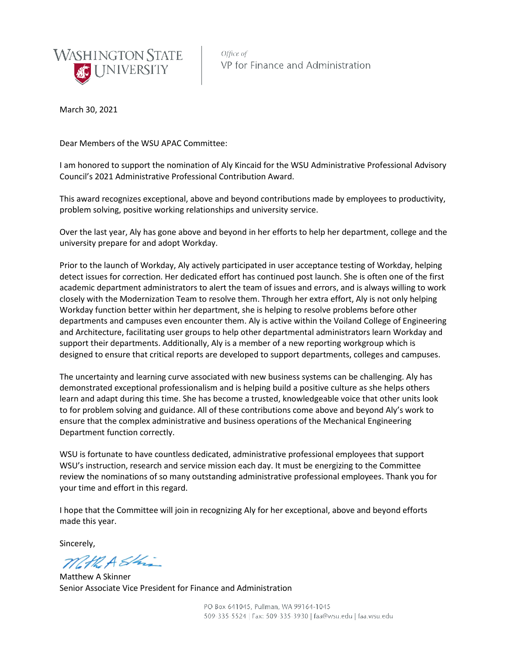

Office of VP for Finance and Administration

March 30, 2021

Dear Members of the WSU APAC Committee:

I am honored to support the nomination of Aly Kincaid for the WSU Administrative Professional Advisory Council's 2021 Administrative Professional Contribution Award.

This award recognizes exceptional, above and beyond contributions made by employees to productivity, problem solving, positive working relationships and university service.

Over the last year, Aly has gone above and beyond in her efforts to help her department, college and the university prepare for and adopt Workday.

Prior to the launch of Workday, Aly actively participated in user acceptance testing of Workday, helping detect issues for correction. Her dedicated effort has continued post launch. She is often one of the first academic department administrators to alert the team of issues and errors, and is always willing to work closely with the Modernization Team to resolve them. Through her extra effort, Aly is not only helping Workday function better within her department, she is helping to resolve problems before other departments and campuses even encounter them. Aly is active within the Voiland College of Engineering and Architecture, facilitating user groups to help other departmental administrators learn Workday and support their departments. Additionally, Aly is a member of a new reporting workgroup which is designed to ensure that critical reports are developed to support departments, colleges and campuses.

The uncertainty and learning curve associated with new business systems can be challenging. Aly has demonstrated exceptional professionalism and is helping build a positive culture as she helps others learn and adapt during this time. She has become a trusted, knowledgeable voice that other units look to for problem solving and guidance. All of these contributions come above and beyond Aly's work to ensure that the complex administrative and business operations of the Mechanical Engineering Department function correctly.

WSU is fortunate to have countless dedicated, administrative professional employees that support WSU's instruction, research and service mission each day. It must be energizing to the Committee review the nominations of so many outstanding administrative professional employees. Thank you for your time and effort in this regard.

I hope that the Committee will join in recognizing Aly for her exceptional, above and beyond efforts made this year.

Sincerely,

Math A Shi

Matthew A Skinner Senior Associate Vice President for Finance and Administration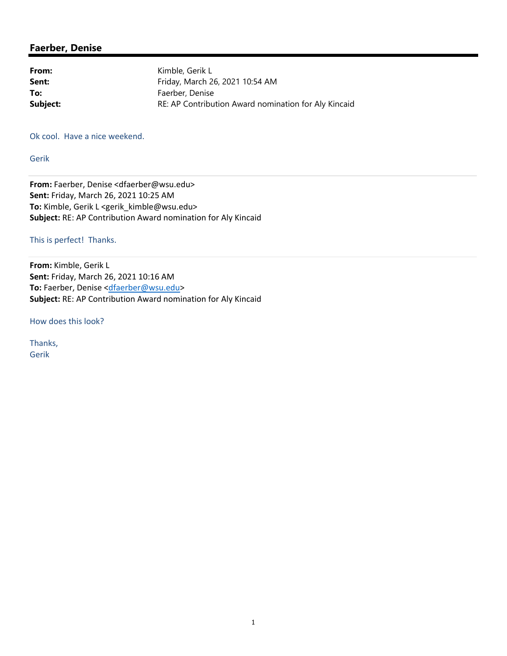## **Faerber, Denise**

| Kimble, Gerik L                                      |
|------------------------------------------------------|
| Friday, March 26, 2021 10:54 AM                      |
| Faerber, Denise                                      |
| RE: AP Contribution Award nomination for Aly Kincaid |
|                                                      |

Ok cool. Have a nice weekend.

Gerik

**From:** Faerber, Denise <dfaerber@wsu.edu> **Sent:** Friday, March 26, 2021 10:25 AM To: Kimble, Gerik L <gerik\_kimble@wsu.edu> **Subject:** RE: AP Contribution Award nomination for Aly Kincaid

## This is perfect! Thanks.

**From:** Kimble, Gerik L **Sent:** Friday, March 26, 2021 10:16 AM To: Faerber, Denise <dfaerber@wsu.edu> **Subject:** RE: AP Contribution Award nomination for Aly Kincaid

How does this look?

Thanks, Gerik